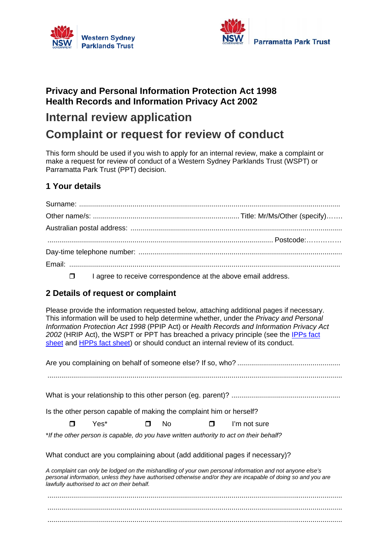



### **Privacy and Personal Information Protection Act 1998 Health Records and Information Privacy Act 2002**

## **Internal review application**

# **Complaint or request for review of conduct**

This form should be used if you wish to apply for an internal review, make a complaint or make a request for review of conduct of a Western Sydney Parklands Trust (WSPT) or Parramatta Park Trust (PPT) decision.

#### **1 Your details**

 $\Box$  I agree to receive correspondence at the above email address.

#### **2 Details of request or complaint**

Please provide the information requested below, attaching additional pages if necessary. This information will be used to help determine whether, under the *Privacy and Personal Information Protection Act 1998* (PPIP Act) or *Health Records and Information Privacy Act 2002* (HRIP Act), the WSPT or PPT has breached a privacy principle (see the IPPs fact sheet and HPPs fact sheet) or should conduct an internal review of its conduct.

| Is the other person capable of making the complaint him or herself? |      |        |     |        |                                                                                                                                                                                                                           |  |
|---------------------------------------------------------------------|------|--------|-----|--------|---------------------------------------------------------------------------------------------------------------------------------------------------------------------------------------------------------------------------|--|
| п                                                                   | Yes* | $\Box$ | No. | $\Box$ | I'm not sure                                                                                                                                                                                                              |  |
|                                                                     |      |        |     |        | *If the other person is capable, do you have written authority to act on their behalf?                                                                                                                                    |  |
|                                                                     |      |        |     |        | What conduct are you complaining about (add additional pages if necessary)?                                                                                                                                               |  |
| lawfully authorised to act on their behalf.                         |      |        |     |        | A complaint can only be lodged on the mishandling of your own personal information and not anyone else's<br>personal information, unless they have authorised otherwise and/or they are incapable of doing so and you are |  |
|                                                                     |      |        |     |        |                                                                                                                                                                                                                           |  |
|                                                                     |      |        |     |        |                                                                                                                                                                                                                           |  |
|                                                                     |      |        |     |        |                                                                                                                                                                                                                           |  |